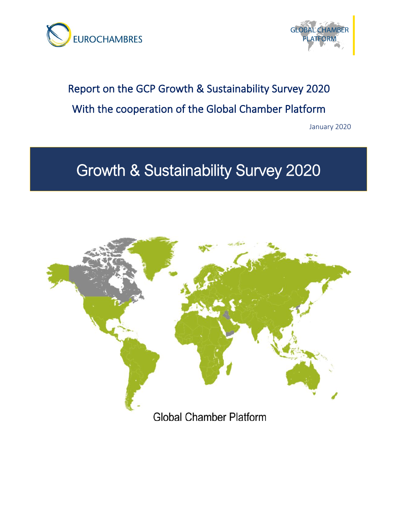



## Report on the GCP Growth & Sustainability Survey 2020 With the cooperation of the Global Chamber Platform

January 2020

# Growth & Sustainability Survey 2020

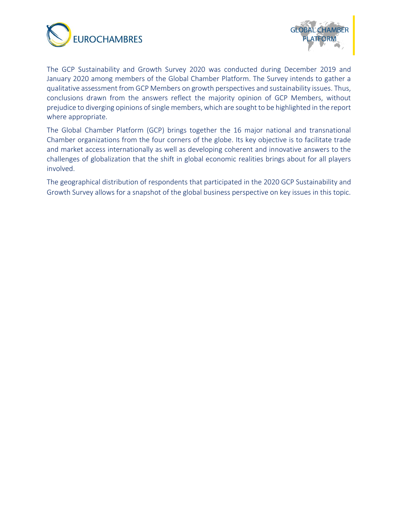



The GCP Sustainability and Growth Survey 2020 was conducted during December 2019 and January 2020 among members of the Global Chamber Platform. The Survey intends to gather a qualitative assessment from GCP Members on growth perspectives and sustainability issues. Thus, conclusions drawn from the answers reflect the majority opinion of GCP Members, without prejudice to diverging opinions of single members, which are sought to be highlighted in the report where appropriate.

The Global Chamber Platform (GCP) brings together the 16 major national and transnational Chamber organizations from the four corners of the globe. Its key objective is to facilitate trade and market access internationally as well as developing coherent and innovative answers to the challenges of globalization that the shift in global economic realities brings about for all players involved.

The geographical distribution of respondents that participated in the 2020 GCP Sustainability and Growth Survey allows for a snapshot of the global business perspective on key issues in this topic.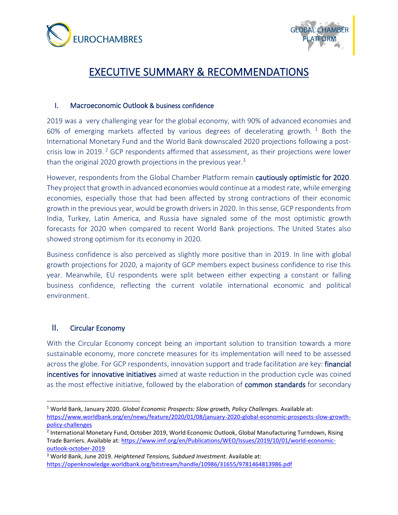



## EXECUTIVE SUMMARY & RECOMMENDATIONS

#### I. Macroeconomic Outlook & business confidence

2019 was a very challenging year for the global economy, with 90% of advanced economies and 60% of emerging markets affected by various degrees of decelerating growth. <sup>1</sup> Both the International Monetary Fund and the World Bank downscaled 2020 projections following a postcrisis low in 2019. <sup>2</sup> GCP respondents affirmed that assessment, as their projections were lower than the original 2020 growth projections in the previous year.<sup>3</sup>

However, respondents from the Global Chamber Platform remain cautiously optimistic for 2020. They project that growth in advanced economies would continue at a modest rate, while emerging economies, especially those that had been affected by strong contractions of their economic growth in the previous year, would be growth drivers in 2020. In this sense, GCP respondents from India, Turkey, Latin America, and Russia have signaled some of the most optimistic growth forecasts for 2020 when compared to recent World Bank projections. The United States also showed strong optimism for its economy in 2020.

Business confidence is also perceived as slightly more positive than in 2019. In line with global growth projections for 2020, a majority of GCP members expect business confidence to rise this year. Meanwhile, EU respondents were split between either expecting a constant or falling business confidence, reflecting the current volatile international economic and political environment.

#### II. Circular Economy

With the Circular Economy concept being an important solution to transition towards a more sustainable economy, more concrete measures for its implementation will need to be assessed across the globe. For GCP respondents, innovation support and trade facilitation are key: financial incentives for innovative initiatives aimed at waste reduction in the production cycle was coined as the most effective initiative, followed by the elaboration of **common standards** for secondary

<sup>1</sup> World Bank, January 2020. *Global Economic Prospects: Slow growth, Policy Challenges.* Available at: [https://www.worldbank.org/en/news/feature/2020/01/08/january-2020-global-economic-prospects-slow-growth](https://www.worldbank.org/en/news/feature/2020/01/08/january-2020-global-economic-prospects-slow-growth-policy-challenges)[policy-challenges](https://www.worldbank.org/en/news/feature/2020/01/08/january-2020-global-economic-prospects-slow-growth-policy-challenges)

<sup>&</sup>lt;sup>2</sup> International Monetary Fund, October 2019, World Economic Outlook, Global Manufacturing Turndown, Rising Trade Barriers. Available at[: https://www.imf.org/en/Publications/WEO/Issues/2019/10/01/world-economic](https://www.imf.org/en/Publications/WEO/Issues/2019/10/01/world-economic-outlook-october-2019)[outlook-october-2019](https://www.imf.org/en/Publications/WEO/Issues/2019/10/01/world-economic-outlook-october-2019)

<sup>3</sup> World Bank, June 2019. *Heightened Tensions, Subdued Investment.* Available at: <https://openknowledge.worldbank.org/bitstream/handle/10986/31655/9781464813986.pdf>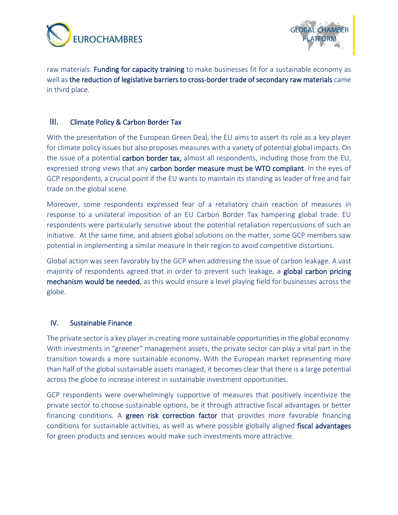



raw materials. Funding for capacity training to make businesses fit for a sustainable economy as well as the reduction of legislative barriers to cross-border trade of secondary raw materials came in third place.

#### III. Climate Policy & Carbon Border Tax

With the presentation of the European Green Deal, the EU aims to assert its role as a key player for climate policy issues but also proposes measures with a variety of potential global impacts. On the issue of a potential carbon border tax, almost all respondents, including those from the EU, expressed strong views that any carbon border measure must be WTO compliant. In the eyes of GCP respondents, a crucial point if the EU wants to maintain its standing as leader of free and fair trade on the global scene.

Moreover, some respondents expressed fear of a retaliatory chain reaction of measures in response to a unilateral imposition of an EU Carbon Border Tax hampering global trade. EU respondents were particularly sensitive about the potential retaliation repercussions of such an initiative. At the same time, and absent global solutions on the matter, some GCP members saw potential in implementing a similar measure in their region to avoid competitive distortions.

Global action was seen favorably by the GCP when addressing the issue of carbon leakage. A vast majority of respondents agreed that in order to prevent such leakage, a global carbon pricing mechanism would be needed, as this would ensure a level playing field for businesses across the globe.

#### IV. Sustainable Finance

The private sector is a key player in creating more sustainable opportunities in the global economy. With investments in "greener" management assets, the private sector can play a vital part in the transition towards a more sustainable economy. With the European market representing more than half of the global sustainable assets managed, it becomes clear that there is a large potential across the globe to increase interest in sustainable investment opportunities.

GCP respondents were overwhelmingly supportive of measures that positively incentivize the private sector to choose sustainable options, be it through attractive fiscal advantages or better financing conditions. A green risk correction factor that provides more favorable financing conditions for sustainable activities, as well as where possible globally aligned fiscal advantages for green products and services would make such investments more attractive.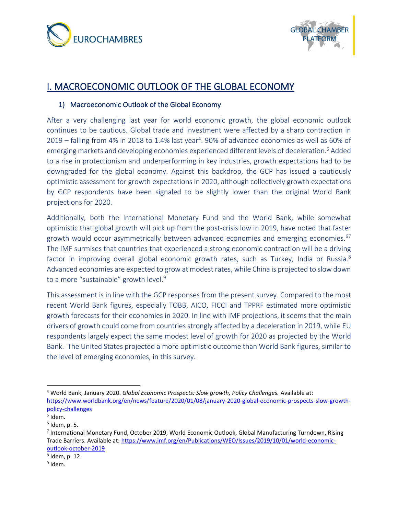



## I. MACROECONOMIC OUTLOOK OF THE GLOBAL ECONOMY

#### 1) Macroeconomic Outlook of the Global Economy

After a very challenging last year for world economic growth, the global economic outlook continues to be cautious. Global trade and investment were affected by a sharp contraction in  $2019$  – falling from 4% in 2018 to 1.4% last year<sup>4</sup>. 90% of advanced economies as well as 60% of emerging markets and developing economies experienced different levels of deceleration.<sup>5</sup> Added to a rise in protectionism and underperforming in key industries, growth expectations had to be downgraded for the global economy. Against this backdrop, the GCP has issued a cautiously optimistic assessment for growth expectations in 2020, although collectively growth expectations by GCP respondents have been signaled to be slightly lower than the original World Bank projections for 2020.

Additionally, both the International Monetary Fund and the World Bank, while somewhat optimistic that global growth will pick up from the post-crisis low in 2019, have noted that faster growth would occur asymmetrically between advanced economies and emerging economies.<sup>67</sup> The IMF surmises that countries that experienced a strong economic contraction will be a driving factor in improving overall global economic growth rates, such as Turkey, India or Russia.<sup>8</sup> Advanced economies are expected to grow at modest rates, while China is projected to slow down to a more "sustainable" growth level.<sup>9</sup>

This assessment is in line with the GCP responses from the present survey. Compared to the most recent World Bank figures, especially TOBB, AICO, FICCI and TPPRF estimated more optimistic growth forecasts for their economies in 2020. In line with IMF projections, it seems that the main drivers of growth could come from countries strongly affected by a deceleration in 2019, while EU respondents largely expect the same modest level of growth for 2020 as projected by the World Bank. The United States projected a more optimistic outcome than World Bank figures, similar to the level of emerging economies, in this survey.

8 Idem, p. 12.

<sup>4</sup> World Bank, January 2020. *Global Economic Prospects: Slow growth, Policy Challenges.* Available at: [https://www.worldbank.org/en/news/feature/2020/01/08/january-2020-global-economic-prospects-slow-growth](https://www.worldbank.org/en/news/feature/2020/01/08/january-2020-global-economic-prospects-slow-growth-policy-challenges)[policy-challenges](https://www.worldbank.org/en/news/feature/2020/01/08/january-2020-global-economic-prospects-slow-growth-policy-challenges)

 $<sup>5</sup>$  Idem.</sup>

<sup>6</sup> Idem, p. 5.

<sup>&</sup>lt;sup>7</sup> International Monetary Fund, October 2019, World Economic Outlook, Global Manufacturing Turndown, Rising Trade Barriers. Available at[: https://www.imf.org/en/Publications/WEO/Issues/2019/10/01/world-economic](https://www.imf.org/en/Publications/WEO/Issues/2019/10/01/world-economic-outlook-october-2019)[outlook-october-2019](https://www.imf.org/en/Publications/WEO/Issues/2019/10/01/world-economic-outlook-october-2019)

<sup>&</sup>lt;sup>9</sup> Idem.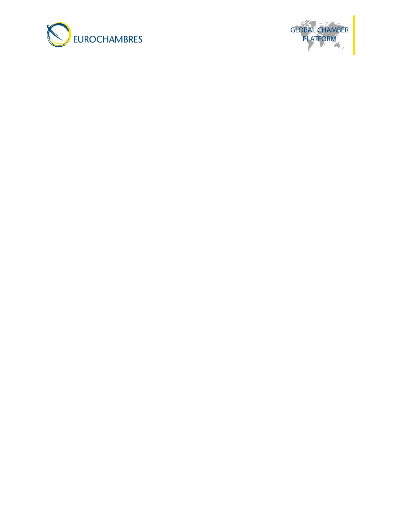

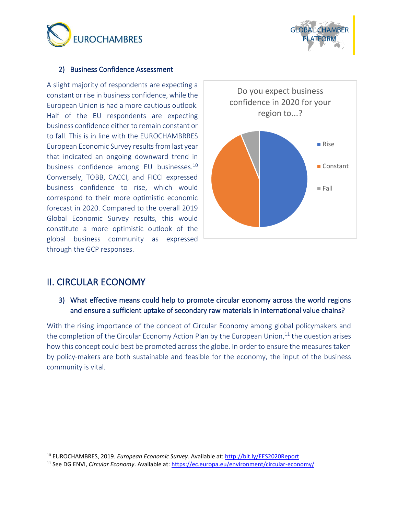



#### 2) Business Confidence Assessment

A slight majority of respondents are expecting a constant or rise in business confidence, while the European Union is had a more cautious outlook. Half of the EU respondents are expecting business confidence either to remain constant or to fall. This is in line with the EUROCHAMBRRES European Economic Survey results from last year that indicated an ongoing downward trend in business confidence among EU businesses.<sup>10</sup> Conversely, TOBB, CACCI, and FICCI expressed business confidence to rise, which would correspond to their more optimistic economic forecast in 2020. Compared to the overall 2019 Global Economic Survey results, this would constitute a more optimistic outlook of the global business community as expressed through the GCP responses.



### II. CIRCULAR ECONOMY

#### 3) What effective means could help to promote circular economy across the world regions and ensure a sufficient uptake of secondary raw materials in international value chains?

With the rising importance of the concept of Circular Economy among global policymakers and the completion of the Circular Economy Action Plan by the European Union, $11$  the question arises how this concept could best be promoted across the globe. In order to ensure the measures taken by policy-makers are both sustainable and feasible for the economy, the input of the business community is vital.

<sup>10</sup> EUROCHAMBRES, 2019. *European Economic Survey.* Available at:<http://bit.ly/EES2020Report>

<sup>11</sup> See DG ENVI, *Circular Economy*. Available at:<https://ec.europa.eu/environment/circular-economy/>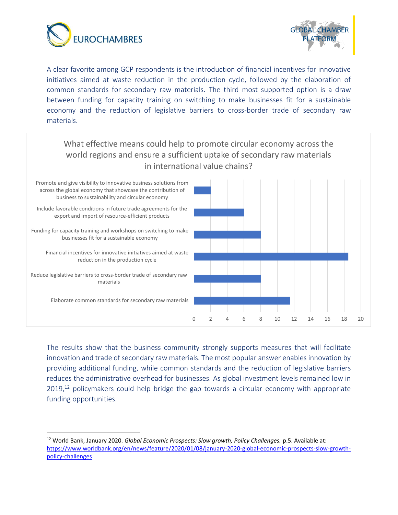



A clear favorite among GCP respondents is the introduction of financial incentives for innovative initiatives aimed at waste reduction in the production cycle, followed by the elaboration of common standards for secondary raw materials. The third most supported option is a draw between funding for capacity training on switching to make businesses fit for a sustainable economy and the reduction of legislative barriers to cross-border trade of secondary raw materials.



The results show that the business community strongly supports measures that will facilitate innovation and trade of secondary raw materials. The most popular answer enables innovation by providing additional funding, while common standards and the reduction of legislative barriers reduces the administrative overhead for businesses. As global investment levels remained low in  $2019<sup>12</sup>$  policymakers could help bridge the gap towards a circular economy with appropriate funding opportunities.

<sup>12</sup> World Bank, January 2020. *Global Economic Prospects: Slow growth, Policy Challenges.* p.5. Available at: [https://www.worldbank.org/en/news/feature/2020/01/08/january-2020-global-economic-prospects-slow-growth](https://www.worldbank.org/en/news/feature/2020/01/08/january-2020-global-economic-prospects-slow-growth-policy-challenges)[policy-challenges](https://www.worldbank.org/en/news/feature/2020/01/08/january-2020-global-economic-prospects-slow-growth-policy-challenges)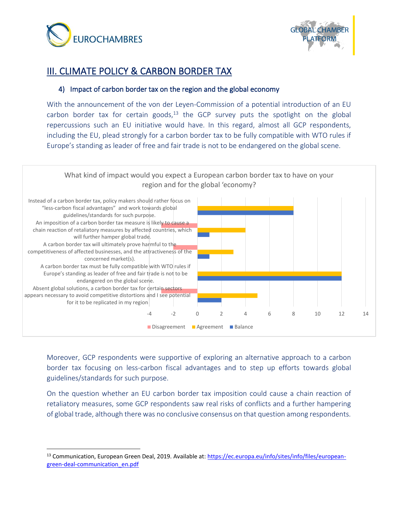



## III. CLIMATE POLICY & CARBON BORDER TAX

#### 4) Impact of carbon border tax on the region and the global economy

With the announcement of the von der Leyen-Commission of a potential introduction of an EU carbon border tax for certain goods, $13$  the GCP survey puts the spotlight on the global repercussions such an EU initiative would have. In this regard, almost all GCP respondents, including the EU, plead strongly for a carbon border tax to be fully compatible with WTO rules if Europe's standing as leader of free and fair trade is not to be endangered on the global scene.



Moreover, GCP respondents were supportive of exploring an alternative approach to a carbon border tax focusing on less-carbon fiscal advantages and to step up efforts towards global guidelines/standards for such purpose.

On the question whether an EU carbon border tax imposition could cause a chain reaction of retaliatory measures, some GCP respondents saw real risks of conflicts and a further hampering of global trade, although there was no conclusive consensus on that question among respondents.

<sup>&</sup>lt;sup>13</sup> Communication, European Green Deal, 2019. Available at: [https://ec.europa.eu/info/sites/info/files/european](https://ec.europa.eu/info/sites/info/files/european-green-deal-communication_en.pdf)[green-deal-communication\\_en.pdf](https://ec.europa.eu/info/sites/info/files/european-green-deal-communication_en.pdf)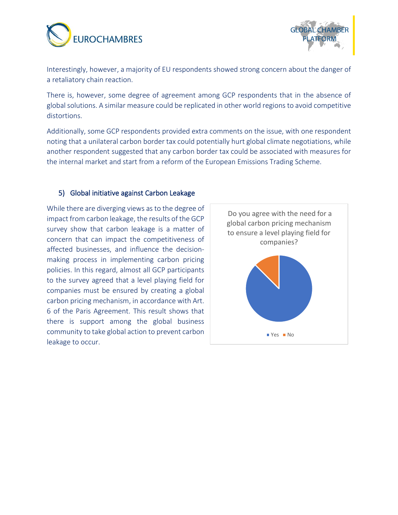



Interestingly, however, a majority of EU respondents showed strong concern about the danger of a retaliatory chain reaction.

There is, however, some degree of agreement among GCP respondents that in the absence of global solutions. A similar measure could be replicated in other world regions to avoid competitive distortions.

Additionally, some GCP respondents provided extra comments on the issue, with one respondent noting that a unilateral carbon border tax could potentially hurt global climate negotiations, while another respondent suggested that any carbon border tax could be associated with measures for the internal market and start from a reform of the European Emissions Trading Scheme.

#### 5) Global initiative against Carbon Leakage

While there are diverging views as to the degree of impact from carbon leakage, the results of the GCP survey show that carbon leakage is a matter of concern that can impact the competitiveness of affected businesses, and influence the decisionmaking process in implementing carbon pricing policies. In this regard, almost all GCP participants to the survey agreed that a level playing field for companies must be ensured by creating a global carbon pricing mechanism, in accordance with Art. 6 of the Paris Agreement. This result shows that there is support among the global business community to take global action to prevent carbon leakage to occur.